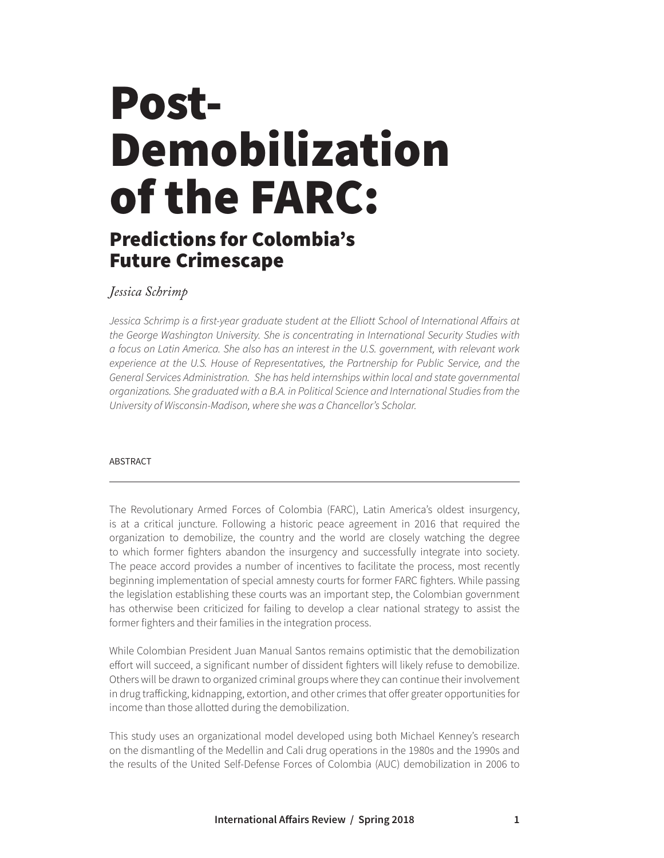# Post-Demobilization of the FARC:

# Predictions for Colombia's Future Crimescape

#### *Jessica Schrimp*

Jessica Schrimp is a frst-year graduate student at the Elliott School of International Afairs at the George Washington University. She is concentrating in International Security Studies with a focus on Latin America. She also has an interest in the U.S. government, with relevant work experience at the U.S. House of Representatives, the Partnership for Public Service, and the General Services Administration. She has held internships within local and state governmental organizations. She graduated with a B.A. in Political Science and International Studies from the University of Wisconsin-Madison, where she was a Chancellor's Scholar.

#### ABSTRACT

The Revolutionary Armed Forces of Colombia (FARC), Latin America's oldest insurgency, is at a critical juncture. Following a historic peace agreement in 2016 that required the organization to demobilize, the country and the world are closely watching the degree to which former fighters abandon the insurgency and successfully integrate into society. The peace accord provides a number of incentives to facilitate the process, most recently beginning implementation of special amnesty courts for former FARC fighters. While passing the legislation establishing these courts was an important step, the Colombian government has otherwise been criticized for failing to develop a clear national strategy to assist the former fighters and their families in the integration process.

While Colombian President Juan Manual Santos remains optimistic that the demobilization efort will succeed, a significant number of dissident fighters will likely refuse to demobilize. Others will be drawn to organized criminal groups where they can continue their involvement in drug traficking, kidnapping, extortion, and other crimes that ofer greater opportunities for income than those allotted during the demobilization.

This study uses an organizational model developed using both Michael Kenney's research on the dismantling of the Medellin and Cali drug operations in the 1980s and the 1990s and the results of the United Self-Defense Forces of Colombia (AUC) demobilization in 2006 to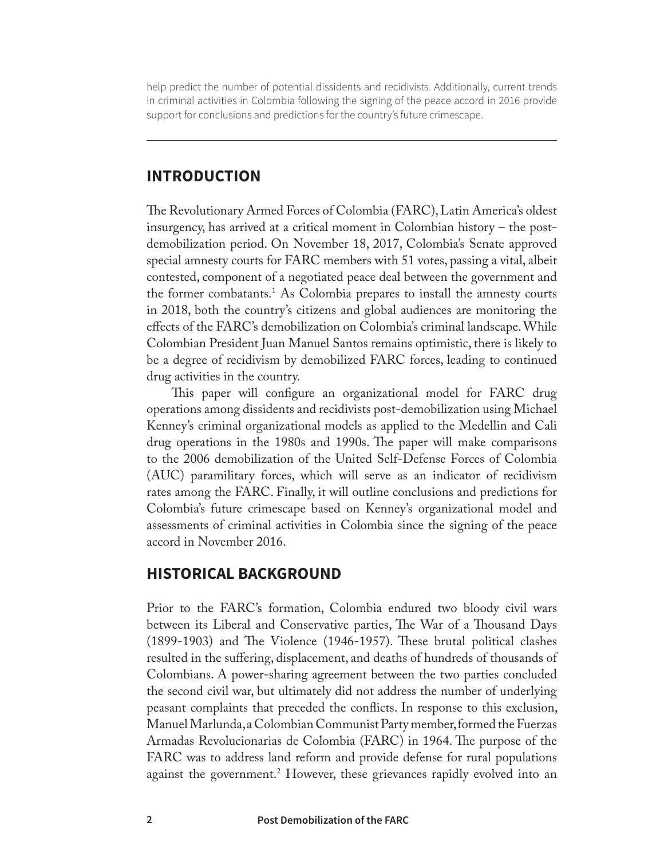help predict the number of potential dissidents and recidivists. Additionally, current trends in criminal activities in Colombia following the signing of the peace accord in 2016 provide support for conclusions and predictions for the country's future crimescape.

## **INTRODUCTION**

The Revolutionary Armed Forces of Colombia (FARC), Latin America's oldest insurgency, has arrived at a critical moment in Colombian history – the postdemobilization period. On November 18, 2017, Colombia's Senate approved special amnesty courts for FARC members with 51 votes, passing a vital, albeit contested, component of a negotiated peace deal between the government and the former combatants.<sup>1</sup> As Colombia prepares to install the amnesty courts in 2018, both the country's citizens and global audiences are monitoring the efects of the FARC's demobilization on Colombia's criminal landscape. While Colombian President Juan Manuel Santos remains optimistic, there is likely to be a degree of recidivism by demobilized FARC forces, leading to continued drug activities in the country.

This paper will configure an organizational model for FARC drug operations among dissidents and recidivists post-demobilization using Michael Kenney's criminal organizational models as applied to the Medellin and Cali drug operations in the 1980s and 1990s. The paper will make comparisons to the 2006 demobilization of the United Self-Defense Forces of Colombia (AUC) paramilitary forces, which will serve as an indicator of recidivism rates among the FARC. Finally, it will outline conclusions and predictions for Colombia's future crimescape based on Kenney's organizational model and assessments of criminal activities in Colombia since the signing of the peace accord in November 2016.

## **HISTORICAL BACKGROUND**

Prior to the FARC's formation, Colombia endured two bloody civil wars between its Liberal and Conservative parties, The War of a Thousand Days  $(1899-1903)$  and The Violence  $(1946-1957)$ . These brutal political clashes resulted in the sufering, displacement, and deaths of hundreds of thousands of Colombians. A power-sharing agreement between the two parties concluded the second civil war, but ultimately did not address the number of underlying peasant complaints that preceded the conficts. In response to this exclusion, Manuel Marlunda, a Colombian Communist Party member, formed the Fuerzas Armadas Revolucionarias de Colombia (FARC) in 1964. The purpose of the FARC was to address land reform and provide defense for rural populations against the government.2 However, these grievances rapidly evolved into an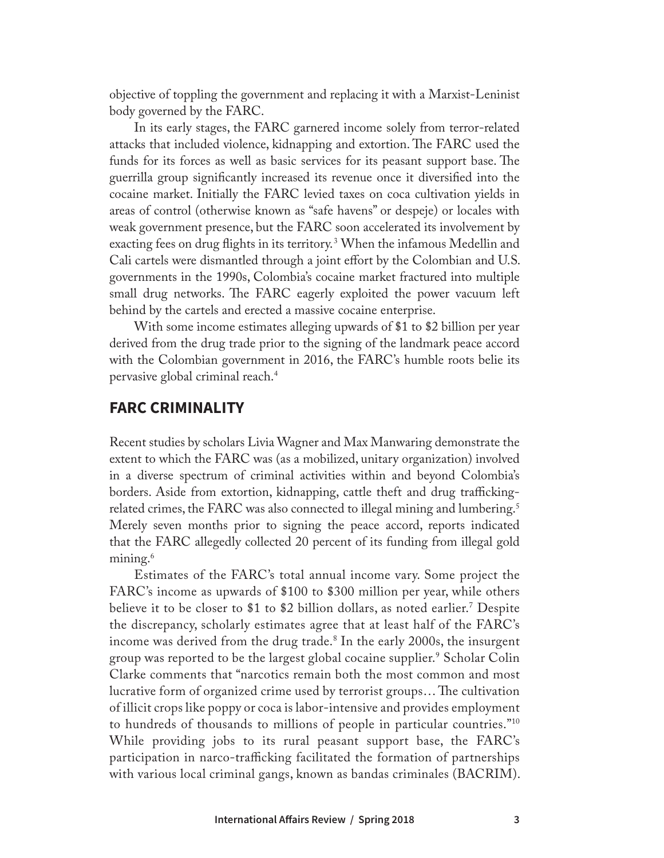objective of toppling the government and replacing it with a Marxist-Leninist body governed by the FARC.

In its early stages, the FARC garnered income solely from terror-related attacks that included violence, kidnapping and extortion. The FARC used the funds for its forces as well as basic services for its peasant support base. The guerrilla group signifcantly increased its revenue once it diversifed into the cocaine market. Initially the FARC levied taxes on coca cultivation yields in areas of control (otherwise known as "safe havens" or despeje) or locales with weak government presence, but the FARC soon accelerated its involvement by exacting fees on drug flights in its territory.<sup>3</sup> When the infamous Medellin and Cali cartels were dismantled through a joint efort by the Colombian and U.S. governments in the 1990s, Colombia's cocaine market fractured into multiple small drug networks. The FARC eagerly exploited the power vacuum left behind by the cartels and erected a massive cocaine enterprise.

With some income estimates alleging upwards of \$1 to \$2 billion per year derived from the drug trade prior to the signing of the landmark peace accord with the Colombian government in 2016, the FARC's humble roots belie its pervasive global criminal reach.4

#### **FARC CRIMINALITY**

Recent studies by scholars Livia Wagner and Max Manwaring demonstrate the extent to which the FARC was (as a mobilized, unitary organization) involved in a diverse spectrum of criminal activities within and beyond Colombia's borders. Aside from extortion, kidnapping, cattle theft and drug traffickingrelated crimes, the FARC was also connected to illegal mining and lumbering.<sup>5</sup> Merely seven months prior to signing the peace accord, reports indicated that the FARC allegedly collected 20 percent of its funding from illegal gold mining.<sup>6</sup>

Estimates of the FARC's total annual income vary. Some project the FARC's income as upwards of \$100 to \$300 million per year, while others believe it to be closer to \$1 to \$2 billion dollars, as noted earlier.7 Despite the discrepancy, scholarly estimates agree that at least half of the FARC's income was derived from the drug trade.8 In the early 2000s, the insurgent group was reported to be the largest global cocaine supplier.9 Scholar Colin Clarke comments that "narcotics remain both the most common and most lucrative form of organized crime used by terrorist groups... The cultivation of illicit crops like poppy or coca is labor-intensive and provides employment to hundreds of thousands to millions of people in particular countries."10 While providing jobs to its rural peasant support base, the FARC's participation in narco-trafficking facilitated the formation of partnerships with various local criminal gangs, known as bandas criminales (BACRIM).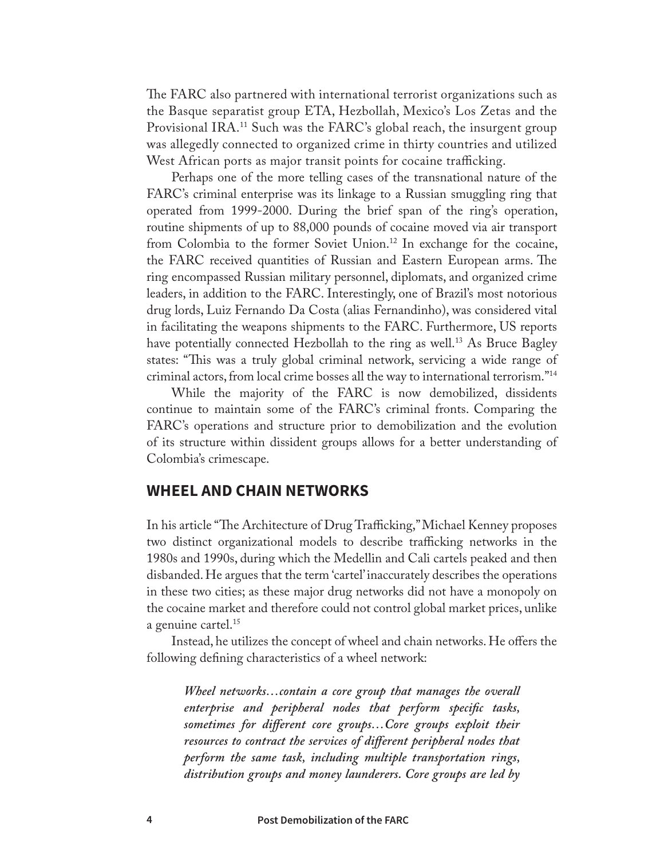The FARC also partnered with international terrorist organizations such as the Basque separatist group ETA, Hezbollah, Mexico's Los Zetas and the Provisional IRA.<sup>11</sup> Such was the FARC's global reach, the insurgent group was allegedly connected to organized crime in thirty countries and utilized West African ports as major transit points for cocaine trafficking.

Perhaps one of the more telling cases of the transnational nature of the FARC's criminal enterprise was its linkage to a Russian smuggling ring that operated from 1999-2000. During the brief span of the ring's operation, routine shipments of up to 88,000 pounds of cocaine moved via air transport from Colombia to the former Soviet Union.<sup>12</sup> In exchange for the cocaine, the FARC received quantities of Russian and Eastern European arms. The ring encompassed Russian military personnel, diplomats, and organized crime leaders, in addition to the FARC. Interestingly, one of Brazil's most notorious drug lords, Luiz Fernando Da Costa (alias Fernandinho), was considered vital in facilitating the weapons shipments to the FARC. Furthermore, US reports have potentially connected Hezbollah to the ring as well.<sup>13</sup> As Bruce Bagley states: "Tis was a truly global criminal network, servicing a wide range of criminal actors, from local crime bosses all the way to international terrorism."14

While the majority of the FARC is now demobilized, dissidents continue to maintain some of the FARC's criminal fronts. Comparing the FARC's operations and structure prior to demobilization and the evolution of its structure within dissident groups allows for a better understanding of Colombia's crimescape.

#### **WHEEL AND CHAIN NETWORKS**

In his article "The Architecture of Drug Trafficking," Michael Kenney proposes two distinct organizational models to describe trafficking networks in the 1980s and 1990s, during which the Medellin and Cali cartels peaked and then disbanded. He argues that the term 'cartel' inaccurately describes the operations in these two cities; as these major drug networks did not have a monopoly on the cocaine market and therefore could not control global market prices, unlike a genuine cartel.<sup>15</sup>

Instead, he utilizes the concept of wheel and chain networks. He offers the following defning characteristics of a wheel network:

*Wheel networks…contain a core group that manages the overall enterprise and peripheral nodes that perform specifc tasks, sometimes for diferent core groups…Core groups exploit their resources to contract the services of diferent peripheral nodes that perform the same task, including multiple transportation rings, distribution groups and money launderers. Core groups are led by*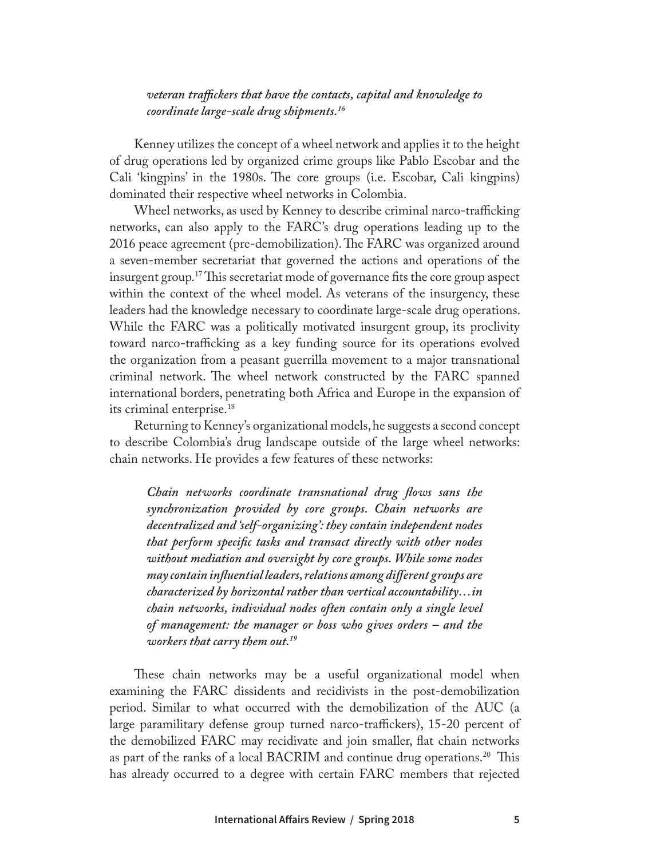#### *veteran trafckers that have the contacts, capital and knowledge to coordinate large-scale drug shipments.16*

Kenney utilizes the concept of a wheel network and applies it to the height of drug operations led by organized crime groups like Pablo Escobar and the Cali 'kingpins' in the 1980s. The core groups (i.e. Escobar, Cali kingpins) dominated their respective wheel networks in Colombia.

Wheel networks, as used by Kenney to describe criminal narco-trafficking networks, can also apply to the FARC's drug operations leading up to the 2016 peace agreement (pre-demobilization). The FARC was organized around a seven-member secretariat that governed the actions and operations of the insurgent group.17Tis secretariat mode of governance fts the core group aspect within the context of the wheel model. As veterans of the insurgency, these leaders had the knowledge necessary to coordinate large-scale drug operations. While the FARC was a politically motivated insurgent group, its proclivity toward narco-trafficking as a key funding source for its operations evolved the organization from a peasant guerrilla movement to a major transnational criminal network. The wheel network constructed by the FARC spanned international borders, penetrating both Africa and Europe in the expansion of its criminal enterprise.<sup>18</sup>

Returning to Kenney's organizational models, he suggests a second concept to describe Colombia's drug landscape outside of the large wheel networks: chain networks. He provides a few features of these networks:

*Chain networks coordinate transnational drug fows sans the synchronization provided by core groups. Chain networks are decentralized and 'self-organizing': they contain independent nodes that perform specifc tasks and transact directly with other nodes without mediation and oversight by core groups. While some nodes may contain infuential leaders, relations among diferent groups are characterized by horizontal rather than vertical accountability…in chain networks, individual nodes often contain only a single level of management: the manager or boss who gives orders – and the workers that carry them out.19*

These chain networks may be a useful organizational model when examining the FARC dissidents and recidivists in the post-demobilization period. Similar to what occurred with the demobilization of the AUC (a large paramilitary defense group turned narco-traffickers), 15-20 percent of the demobilized FARC may recidivate and join smaller, fat chain networks as part of the ranks of a local BACRIM and continue drug operations.<sup>20</sup> This has already occurred to a degree with certain FARC members that rejected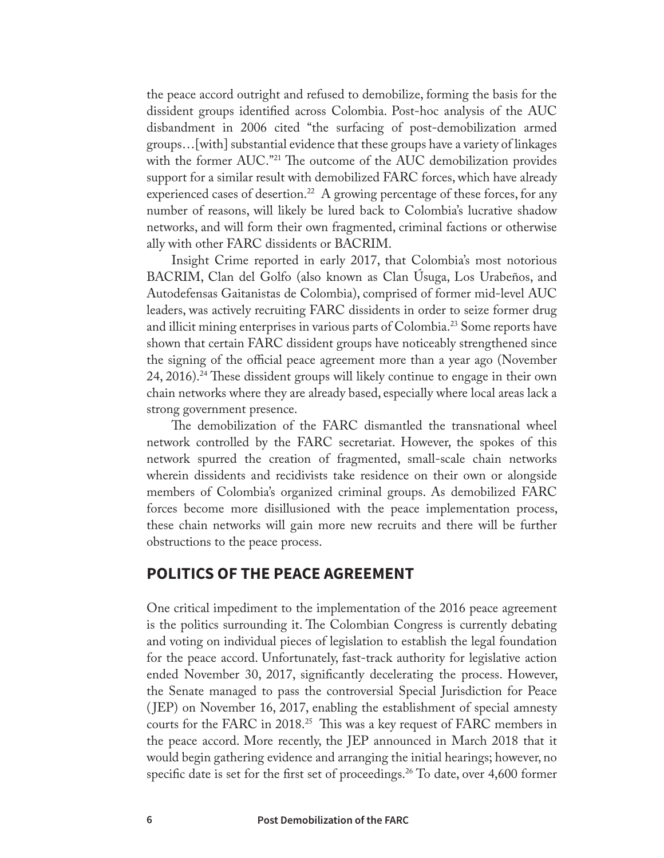the peace accord outright and refused to demobilize, forming the basis for the dissident groups identifed across Colombia. Post-hoc analysis of the AUC disbandment in 2006 cited "the surfacing of post-demobilization armed groups…[with] substantial evidence that these groups have a variety of linkages with the former AUC."<sup>21</sup> The outcome of the AUC demobilization provides support for a similar result with demobilized FARC forces, which have already experienced cases of desertion.<sup>22</sup> A growing percentage of these forces, for any number of reasons, will likely be lured back to Colombia's lucrative shadow networks, and will form their own fragmented, criminal factions or otherwise ally with other FARC dissidents or BACRIM.

Insight Crime reported in early 2017, that Colombia's most notorious BACRIM, Clan del Golfo (also known as Clan Úsuga, Los Urabeños, and Autodefensas Gaitanistas de Colombia), comprised of former mid-level AUC leaders, was actively recruiting FARC dissidents in order to seize former drug and illicit mining enterprises in various parts of Colombia.<sup>23</sup> Some reports have shown that certain FARC dissident groups have noticeably strengthened since the signing of the official peace agreement more than a year ago (November  $24, 2016$ .<sup>24</sup> These dissident groups will likely continue to engage in their own chain networks where they are already based, especially where local areas lack a strong government presence.

The demobilization of the FARC dismantled the transnational wheel network controlled by the FARC secretariat. However, the spokes of this network spurred the creation of fragmented, small-scale chain networks wherein dissidents and recidivists take residence on their own or alongside members of Colombia's organized criminal groups. As demobilized FARC forces become more disillusioned with the peace implementation process, these chain networks will gain more new recruits and there will be further obstructions to the peace process.

#### **POLITICS OF THE PEACE AGREEMENT**

One critical impediment to the implementation of the 2016 peace agreement is the politics surrounding it. The Colombian Congress is currently debating and voting on individual pieces of legislation to establish the legal foundation for the peace accord. Unfortunately, fast-track authority for legislative action ended November 30, 2017, signifcantly decelerating the process. However, the Senate managed to pass the controversial Special Jurisdiction for Peace ( JEP) on November 16, 2017, enabling the establishment of special amnesty courts for the FARC in 2018.<sup>25</sup> This was a key request of FARC members in the peace accord. More recently, the JEP announced in March 2018 that it would begin gathering evidence and arranging the initial hearings; however, no specific date is set for the first set of proceedings.<sup>26</sup> To date, over 4,600 former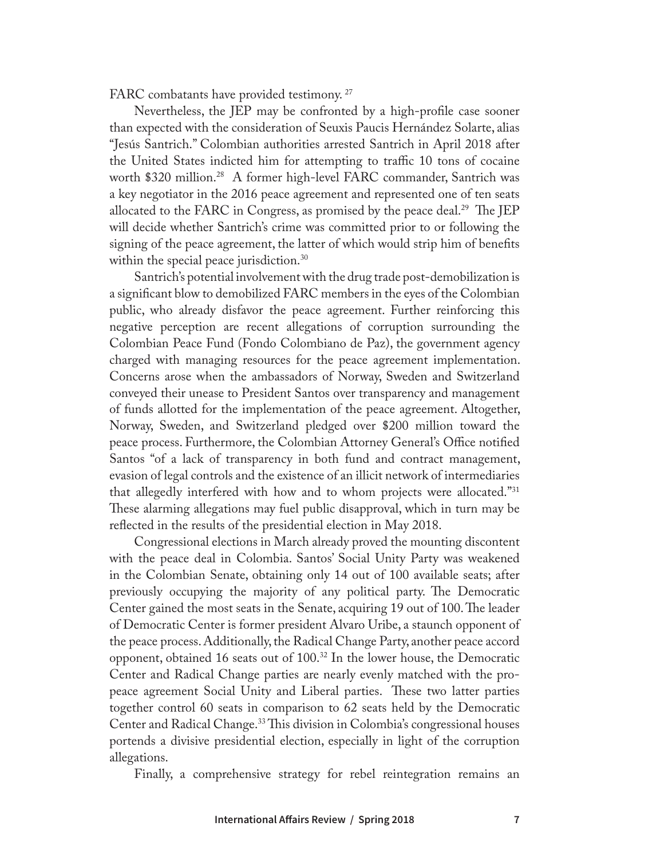FARC combatants have provided testimony.<sup>27</sup>

Nevertheless, the JEP may be confronted by a high-profle case sooner than expected with the consideration of Seuxis Paucis Hernández Solarte, alias "Jesús Santrich." Colombian authorities arrested Santrich in April 2018 after the United States indicted him for attempting to traffic 10 tons of cocaine worth \$320 million.<sup>28</sup> A former high-level FARC commander, Santrich was a key negotiator in the 2016 peace agreement and represented one of ten seats allocated to the FARC in Congress, as promised by the peace deal.<sup>29</sup> The JEP will decide whether Santrich's crime was committed prior to or following the signing of the peace agreement, the latter of which would strip him of benefts within the special peace jurisdiction.<sup>30</sup>

Santrich's potential involvement with the drug trade post-demobilization is a signifcant blow to demobilized FARC members in the eyes of the Colombian public, who already disfavor the peace agreement. Further reinforcing this negative perception are recent allegations of corruption surrounding the Colombian Peace Fund (Fondo Colombiano de Paz), the government agency charged with managing resources for the peace agreement implementation. Concerns arose when the ambassadors of Norway, Sweden and Switzerland conveyed their unease to President Santos over transparency and management of funds allotted for the implementation of the peace agreement. Altogether, Norway, Sweden, and Switzerland pledged over \$200 million toward the peace process. Furthermore, the Colombian Attorney General's Office notified Santos "of a lack of transparency in both fund and contract management, evasion of legal controls and the existence of an illicit network of intermediaries that allegedly interfered with how and to whom projects were allocated."31 These alarming allegations may fuel public disapproval, which in turn may be refected in the results of the presidential election in May 2018.

Congressional elections in March already proved the mounting discontent with the peace deal in Colombia. Santos' Social Unity Party was weakened in the Colombian Senate, obtaining only 14 out of 100 available seats; after previously occupying the majority of any political party. The Democratic Center gained the most seats in the Senate, acquiring 19 out of 100. The leader of Democratic Center is former president Alvaro Uribe, a staunch opponent of the peace process. Additionally, the Radical Change Party, another peace accord opponent, obtained 16 seats out of 100.32 In the lower house, the Democratic Center and Radical Change parties are nearly evenly matched with the propeace agreement Social Unity and Liberal parties. These two latter parties together control 60 seats in comparison to 62 seats held by the Democratic Center and Radical Change.<sup>33</sup> This division in Colombia's congressional houses portends a divisive presidential election, especially in light of the corruption allegations.

Finally, a comprehensive strategy for rebel reintegration remains an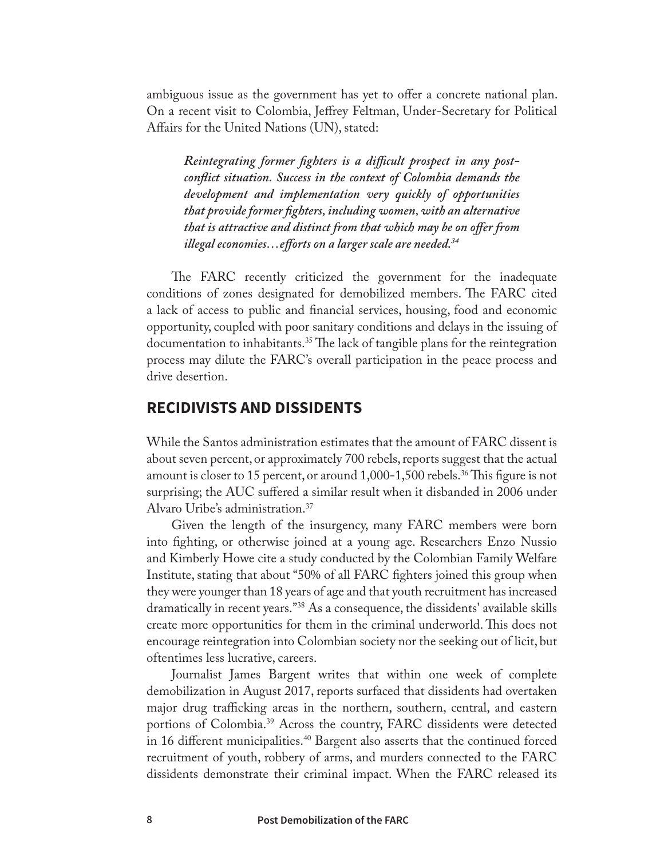ambiguous issue as the government has yet to offer a concrete national plan. On a recent visit to Colombia, Jefrey Feltman, Under-Secretary for Political Afairs for the United Nations (UN), stated:

*Reintegrating former fghters is a difcult prospect in any postconfict situation. Success in the context of Colombia demands the development and implementation very quickly of opportunities that provide former fghters, including women, with an alternative that is attractive and distinct from that which may be on ofer from illegal economies…eforts on a larger scale are needed.34*

The FARC recently criticized the government for the inadequate conditions of zones designated for demobilized members. The FARC cited a lack of access to public and fnancial services, housing, food and economic opportunity, coupled with poor sanitary conditions and delays in the issuing of documentation to inhabitants.<sup>35</sup> The lack of tangible plans for the reintegration process may dilute the FARC's overall participation in the peace process and drive desertion.

#### **RECIDIVISTS AND DISSIDENTS**

While the Santos administration estimates that the amount of FARC dissent is about seven percent, or approximately 700 rebels, reports suggest that the actual amount is closer to 15 percent, or around 1,000-1,500 rebels.<sup>36</sup> This figure is not surprising; the AUC sufered a similar result when it disbanded in 2006 under Alvaro Uribe's administration.37

Given the length of the insurgency, many FARC members were born into fghting, or otherwise joined at a young age. Researchers Enzo Nussio and Kimberly Howe cite a study conducted by the Colombian Family Welfare Institute, stating that about "50% of all FARC fghters joined this group when they were younger than 18 years of age and that youth recruitment has increased dramatically in recent years."38 As a consequence, the dissidents' available skills create more opportunities for them in the criminal underworld. This does not encourage reintegration into Colombian society nor the seeking out of licit, but oftentimes less lucrative, careers.

Journalist James Bargent writes that within one week of complete demobilization in August 2017, reports surfaced that dissidents had overtaken major drug trafficking areas in the northern, southern, central, and eastern portions of Colombia.39 Across the country, FARC dissidents were detected in 16 different municipalities.<sup>40</sup> Bargent also asserts that the continued forced recruitment of youth, robbery of arms, and murders connected to the FARC dissidents demonstrate their criminal impact. When the FARC released its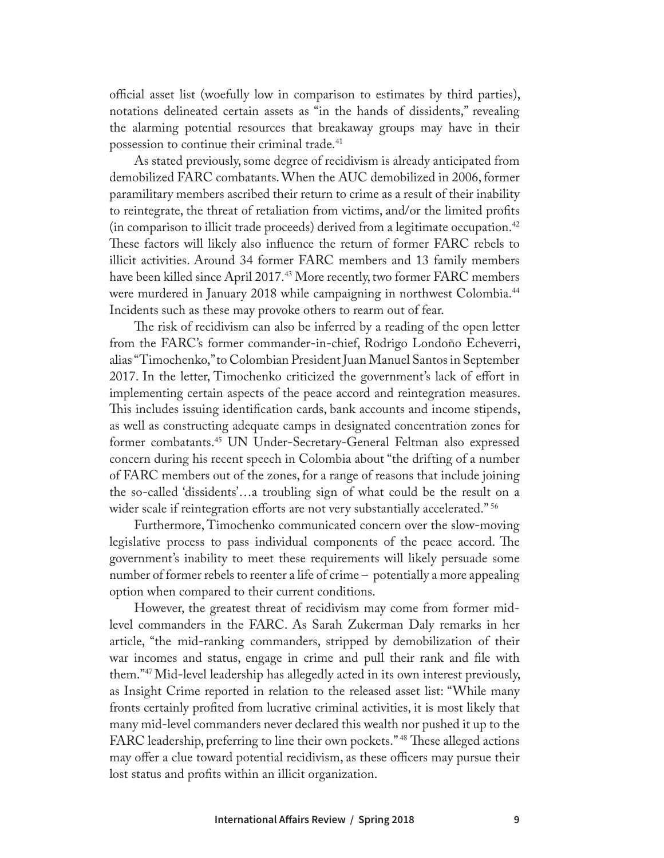official asset list (woefully low in comparison to estimates by third parties), notations delineated certain assets as "in the hands of dissidents," revealing the alarming potential resources that breakaway groups may have in their possession to continue their criminal trade.<sup>41</sup>

As stated previously, some degree of recidivism is already anticipated from demobilized FARC combatants. When the AUC demobilized in 2006, former paramilitary members ascribed their return to crime as a result of their inability to reintegrate, the threat of retaliation from victims, and/or the limited profts (in comparison to illicit trade proceeds) derived from a legitimate occupation.42 These factors will likely also influence the return of former FARC rebels to illicit activities. Around 34 former FARC members and 13 family members have been killed since April 2017.<sup>43</sup> More recently, two former FARC members were murdered in January 2018 while campaigning in northwest Colombia.44 Incidents such as these may provoke others to rearm out of fear.

The risk of recidivism can also be inferred by a reading of the open letter from the FARC's former commander-in-chief, Rodrigo Londoño Echeverri, alias "Timochenko," to Colombian President Juan Manuel Santos in September 2017. In the letter, Timochenko criticized the government's lack of efort in implementing certain aspects of the peace accord and reintegration measures. This includes issuing identification cards, bank accounts and income stipends, as well as constructing adequate camps in designated concentration zones for former combatants.45 UN Under-Secretary-General Feltman also expressed concern during his recent speech in Colombia about "the drifting of a number of FARC members out of the zones, for a range of reasons that include joining the so-called 'dissidents'…a troubling sign of what could be the result on a wider scale if reintegration efforts are not very substantially accelerated." <sup>56</sup>

Furthermore, Timochenko communicated concern over the slow-moving legislative process to pass individual components of the peace accord. The government's inability to meet these requirements will likely persuade some number of former rebels to reenter a life of crime – potentially a more appealing option when compared to their current conditions.

However, the greatest threat of recidivism may come from former midlevel commanders in the FARC. As Sarah Zukerman Daly remarks in her article, "the mid-ranking commanders, stripped by demobilization of their war incomes and status, engage in crime and pull their rank and fle with them."47 Mid-level leadership has allegedly acted in its own interest previously, as Insight Crime reported in relation to the released asset list: "While many fronts certainly profted from lucrative criminal activities, it is most likely that many mid-level commanders never declared this wealth nor pushed it up to the FARC leadership, preferring to line their own pockets."<sup>48</sup> These alleged actions may offer a clue toward potential recidivism, as these officers may pursue their lost status and profts within an illicit organization.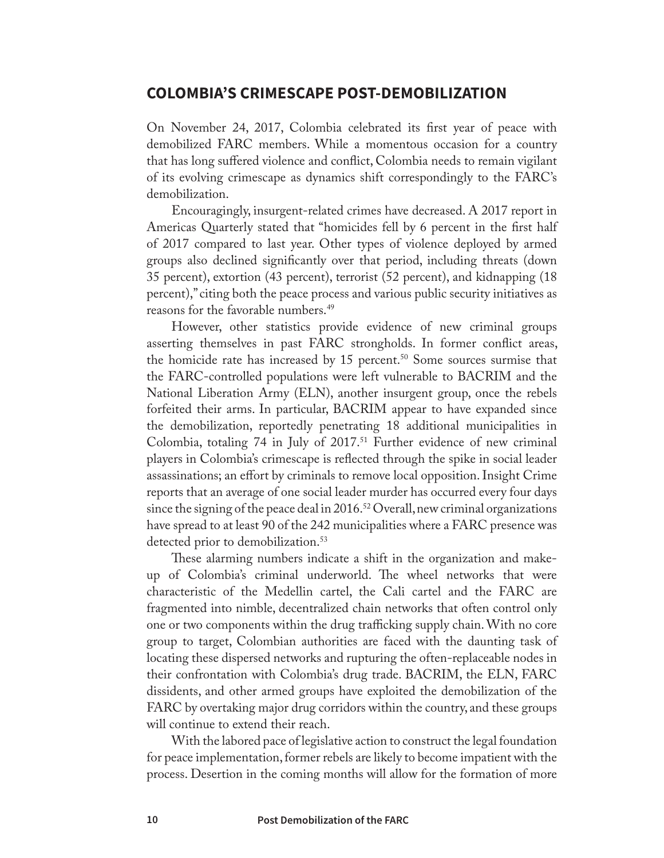#### **COLOMBIA'S CRIMESCAPE POST-DEMOBILIZATION**

On November 24, 2017, Colombia celebrated its frst year of peace with demobilized FARC members. While a momentous occasion for a country that has long sufered violence and confict, Colombia needs to remain vigilant of its evolving crimescape as dynamics shift correspondingly to the FARC's demobilization.

Encouragingly, insurgent-related crimes have decreased. A 2017 report in Americas Quarterly stated that "homicides fell by 6 percent in the frst half of 2017 compared to last year. Other types of violence deployed by armed groups also declined signifcantly over that period, including threats (down 35 percent), extortion (43 percent), terrorist (52 percent), and kidnapping (18 percent)," citing both the peace process and various public security initiatives as reasons for the favorable numbers.49

However, other statistics provide evidence of new criminal groups asserting themselves in past FARC strongholds. In former confict areas, the homicide rate has increased by 15 percent.<sup>50</sup> Some sources surmise that the FARC-controlled populations were left vulnerable to BACRIM and the National Liberation Army (ELN), another insurgent group, once the rebels forfeited their arms. In particular, BACRIM appear to have expanded since the demobilization, reportedly penetrating 18 additional municipalities in Colombia, totaling 74 in July of  $2017<sup>51</sup>$  Further evidence of new criminal players in Colombia's crimescape is refected through the spike in social leader assassinations; an efort by criminals to remove local opposition. Insight Crime reports that an average of one social leader murder has occurred every four days since the signing of the peace deal in  $2016<sup>52</sup>$  Overall, new criminal organizations have spread to at least 90 of the 242 municipalities where a FARC presence was detected prior to demobilization.<sup>53</sup>

These alarming numbers indicate a shift in the organization and makeup of Colombia's criminal underworld. The wheel networks that were characteristic of the Medellin cartel, the Cali cartel and the FARC are fragmented into nimble, decentralized chain networks that often control only one or two components within the drug trafficking supply chain. With no core group to target, Colombian authorities are faced with the daunting task of locating these dispersed networks and rupturing the often-replaceable nodes in their confrontation with Colombia's drug trade. BACRIM, the ELN, FARC dissidents, and other armed groups have exploited the demobilization of the FARC by overtaking major drug corridors within the country, and these groups will continue to extend their reach.

With the labored pace of legislative action to construct the legal foundation for peace implementation, former rebels are likely to become impatient with the process. Desertion in the coming months will allow for the formation of more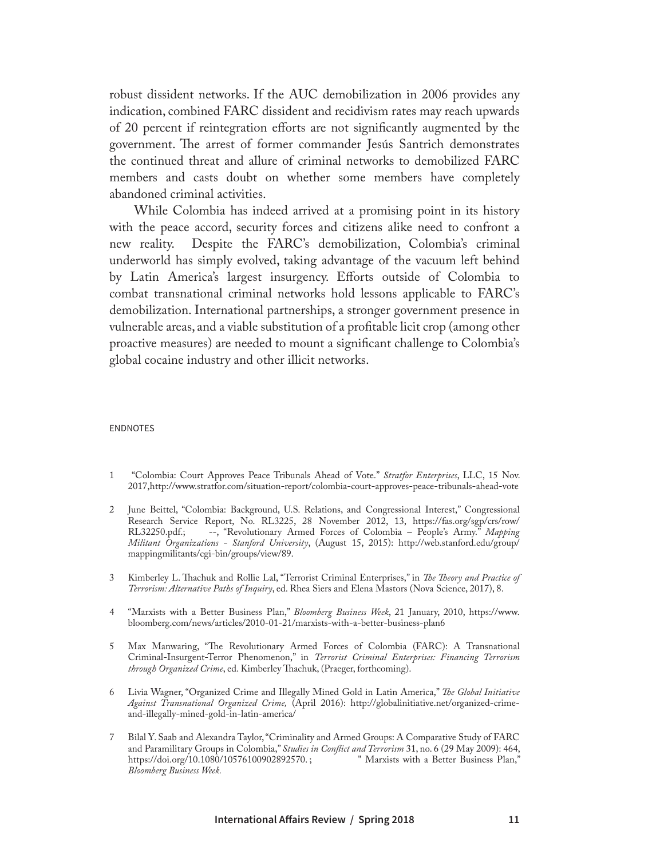robust dissident networks. If the AUC demobilization in 2006 provides any indication, combined FARC dissident and recidivism rates may reach upwards of 20 percent if reintegration eforts are not signifcantly augmented by the government. The arrest of former commander Jesús Santrich demonstrates the continued threat and allure of criminal networks to demobilized FARC members and casts doubt on whether some members have completely abandoned criminal activities.

While Colombia has indeed arrived at a promising point in its history with the peace accord, security forces and citizens alike need to confront a new reality. Despite the FARC's demobilization, Colombia's criminal underworld has simply evolved, taking advantage of the vacuum left behind by Latin America's largest insurgency. Efforts outside of Colombia to combat transnational criminal networks hold lessons applicable to FARC's demobilization. International partnerships, a stronger government presence in vulnerable areas, and a viable substitution of a proftable licit crop (among other proactive measures) are needed to mount a signifcant challenge to Colombia's global cocaine industry and other illicit networks.

#### ENDNOTES

- 1 "Colombia: Court Approves Peace Tribunals Ahead of Vote." *Stratfor Enterprises*, LLC, 15 Nov. 2017,http://www.stratfor.com/situation-report/colombia-court-approves-peace-tribunals-ahead-vote
- 2 June Beittel, "Colombia: Background, U.S. Relations, and Congressional Interest," Congressional Research Service Report, No. RL3225, 28 November 2012, 13, https://fas.org/sgp/crs/row/ RL32250.pdf.; --, "Revolutionary Armed Forces of Colombia – People's Army." *Mapping Militant Organizations - Stanford University*, (August 15, 2015): http://web.stanford.edu/group/ mappingmilitants/cgi-bin/groups/view/89.
- 3 Kimberley L. Tachuk and Rollie Lal, "Terrorist Criminal Enterprises," in *Te Teory and Practice of Terrorism: Alternative Paths of Inquiry*, ed. Rhea Siers and Elena Mastors (Nova Science, 2017), 8.
- 4 "Marxists with a Better Business Plan," *Bloomberg Business Week*, 21 January, 2010, https://www. bloomberg.com/news/articles/2010-01-21/marxists-with-a-better-business-plan6
- 5 Max Manwaring, "Te Revolutionary Armed Forces of Colombia (FARC): A Transnational Criminal-Insurgent-Terror Phenomenon," in *Terrorist Criminal Enterprises: Financing Terrorism through Organized Crime*, ed. Kimberley Tachuk, (Praeger, forthcoming).
- 6 Livia Wagner, "Organized Crime and Illegally Mined Gold in Latin America," *Te Global Initiative Against Transnational Organized Crime,* (April 2016): http://globalinitiative.net/organized-crimeand-illegally-mined-gold-in-latin-america/
- 7 Bilal Y. Saab and Alexandra Taylor, "Criminality and Armed Groups: A Comparative Study of FARC and Paramilitary Groups in Colombia," *Studies in Confict and Terrorism* 31, no. 6 (29 May 2009): 464, https://doi.org/10.1080/10576100902892570.; "Warxists with a Better Business Plan," *Bloomberg Business Week.*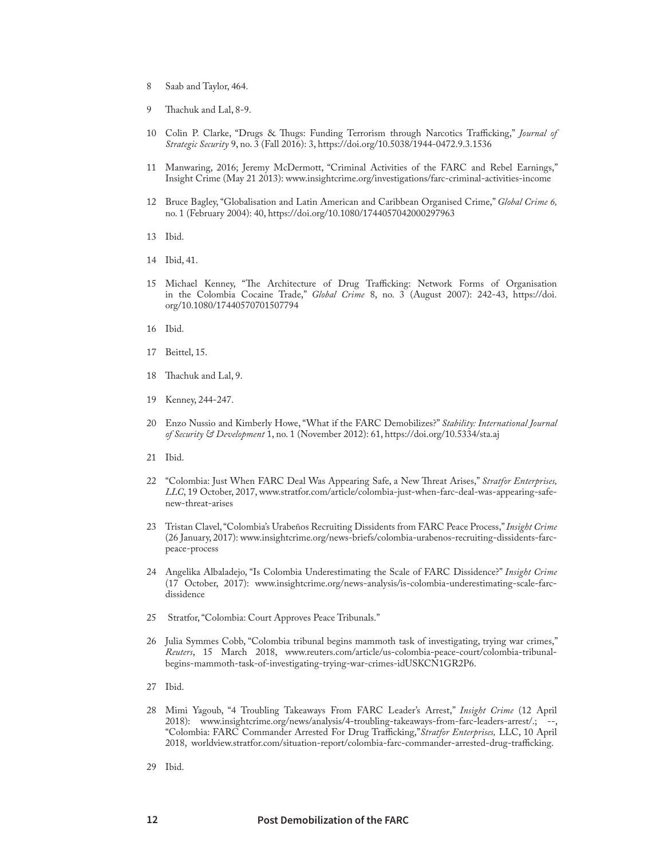- 8 Saab and Taylor, 464.
- 9 Thachuk and Lal, 8-9.
- 10 Colin P. Clarke, "Drugs & Tugs: Funding Terrorism through Narcotics Trafcking," *Journal of Strategic Security* 9, no. 3 (Fall 2016): 3, https://doi.org/10.5038/1944-0472.9.3.1536
- 11 Manwaring, 2016; Jeremy McDermott, "Criminal Activities of the FARC and Rebel Earnings," Insight Crime (May 21 2013): www.insightcrime.org/investigations/farc-criminal-activities-income
- 12 Bruce Bagley, "Globalisation and Latin American and Caribbean Organised Crime," *Global Crime 6,*  no. 1 (February 2004): 40, https://doi.org/10.1080/1744057042000297963
- 13 Ibid.
- 14 Ibid, 41.
- 15 Michael Kenney, "The Architecture of Drug Trafficking: Network Forms of Organisation in the Colombia Cocaine Trade," *Global Crime* 8, no. 3 (August 2007): 242-43, https://doi. org/10.1080/17440570701507794
- 16 Ibid.
- 17 Beittel, 15.
- 18 Thachuk and Lal, 9.
- 19 Kenney, 244-247.
- 20 Enzo Nussio and Kimberly Howe, "What if the FARC Demobilizes?" *Stability: International Journal of Security & Development* 1, no. 1 (November 2012): 61, https://doi.org/10.5334/sta.aj
- 21 Ibid.
- 22 "Colombia: Just When FARC Deal Was Appearing Safe, a New Threat Arises," Stratfor Enterprises, *LLC*, 19 October, 2017, www.stratfor.com/article/colombia-just-when-farc-deal-was-appearing-safenew-threat-arises
- 23 Tristan Clavel, "Colombia's Urabeños Recruiting Dissidents from FARC Peace Process," *Insight Crime*  (26 January, 2017): www.insightcrime.org/news-briefs/colombia-urabenos-recruiting-dissidents-farcpeace-process
- 24 Angelika Albaladejo, "Is Colombia Underestimating the Scale of FARC Dissidence?" *Insight Crime*  (17 October, 2017): www.insightcrime.org/news-analysis/is-colombia-underestimating-scale-farcdissidence
- 25 Stratfor, "Colombia: Court Approves Peace Tribunals."
- 26 Julia Symmes Cobb, "Colombia tribunal begins mammoth task of investigating, trying war crimes," *Reuters*, 15 March 2018, www.reuters.com/article/us-colombia-peace-court/colombia-tribunalbegins-mammoth-task-of-investigating-trying-war-crimes-idUSKCN1GR2P6.
- 27 Ibid.
- 28 Mimi Yagoub, "4 Troubling Takeaways From FARC Leader's Arrest," *Insight Crime* (12 April 2018): www.insightcrime.org/news/analysis/4-troubling-takeaways-from-farc-leaders-arrest/.; --, "Colombia: FARC Commander Arrested For Drug Trafficking," Stratfor Enterprises, LLC, 10 April 2018, worldview.stratfor.com/situation-report/colombia-farc-commander-arrested-drug-trafficking.
- 29 Ibid.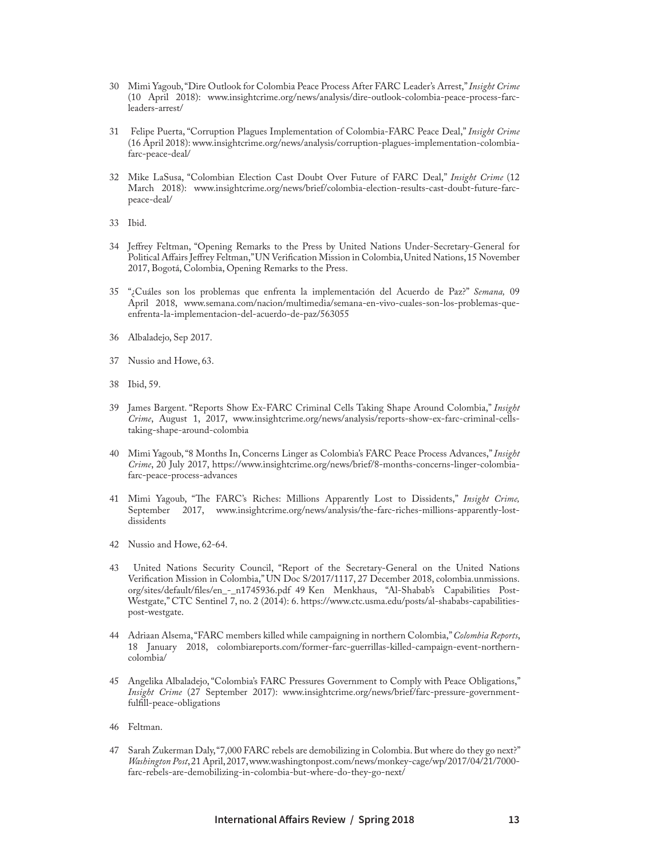- 30 Mimi Yagoub, "Dire Outlook for Colombia Peace Process After FARC Leader's Arrest," *Insight Crime*  (10 April 2018): www.insightcrime.org/news/analysis/dire-outlook-colombia-peace-process-farcleaders-arrest/
- 31 Felipe Puerta, "Corruption Plagues Implementation of Colombia-FARC Peace Deal," *Insight Crime*  (16 April 2018): www.insightcrime.org/news/analysis/corruption-plagues-implementation-colombiafarc-peace-deal/
- 32 Mike LaSusa, "Colombian Election Cast Doubt Over Future of FARC Deal," *Insight Crime* (12 March 2018): www.insightcrime.org/news/brief/colombia-election-results-cast-doubt-future-farcpeace-deal/
- 33 Ibid.
- 34 Jefrey Feltman, "Opening Remarks to the Press by United Nations Under-Secretary-General for Political Afairs Jefrey Feltman," UN Verifcation Mission in Colombia, United Nations, 15 November 2017, Bogotá, Colombia, Opening Remarks to the Press.
- 35 "¿Cuáles son los problemas que enfrenta la implementación del Acuerdo de Paz?" *Semana,* 09 April 2018, www.semana.com/nacion/multimedia/semana-en-vivo-cuales-son-los-problemas-queenfrenta-la-implementacion-del-acuerdo-de-paz/563055
- 36 Albaladejo, Sep 2017.
- 37 Nussio and Howe, 63.
- 38 Ibid, 59.
- 39 James Bargent. "Reports Show Ex-FARC Criminal Cells Taking Shape Around Colombia," *Insight Crime*, August 1, 2017, www.insightcrime.org/news/analysis/reports-show-ex-farc-criminal-cellstaking-shape-around-colombia
- 40 Mimi Yagoub, "8 Months In, Concerns Linger as Colombia's FARC Peace Process Advances," *Insight Crime*, 20 July 2017, https://www.insightcrime.org/news/brief/8-months-concerns-linger-colombiafarc-peace-process-advances
- 41 Mimi Yagoub, "Te FARC's Riches: Millions Apparently Lost to Dissidents," *Insight Crime,* September 2017, www.insightcrime.org/news/analysis/the-farc-riches-millions-apparently-lostdissidents
- 42 Nussio and Howe, 62-64.
- 43 United Nations Security Council, "Report of the Secretary-General on the United Nations Verifcation Mission in Colombia," UN Doc S/2017/1117, 27 December 2018, colombia.unmissions. org/sites/default/fles/en\_-\_n1745936.pdf 49 Ken Menkhaus, "Al-Shabab's Capabilities Post-Westgate," CTC Sentinel 7, no. 2 (2014): 6. https://www.ctc.usma.edu/posts/al-shababs-capabilitiespost-westgate.
- 44 Adriaan Alsema, "FARC members killed while campaigning in northern Colombia," *Colombia Reports*, 18 January 2018, colombiareports.com/former-farc-guerrillas-killed-campaign-event-northerncolombia/
- 45 Angelika Albaladejo, "Colombia's FARC Pressures Government to Comply with Peace Obligations," *Insight Crime* (27 September 2017): www.insightcrime.org/news/brief/farc-pressure-governmentfulfll-peace-obligations
- 46 Feltman.
- 47 Sarah Zukerman Daly, "7,000 FARC rebels are demobilizing in Colombia. But where do they go next?" *Washington Post*, 21 April, 2017, www.washingtonpost.com/news/monkey-cage/wp/2017/04/21/7000 farc-rebels-are-demobilizing-in-colombia-but-where-do-they-go-next/